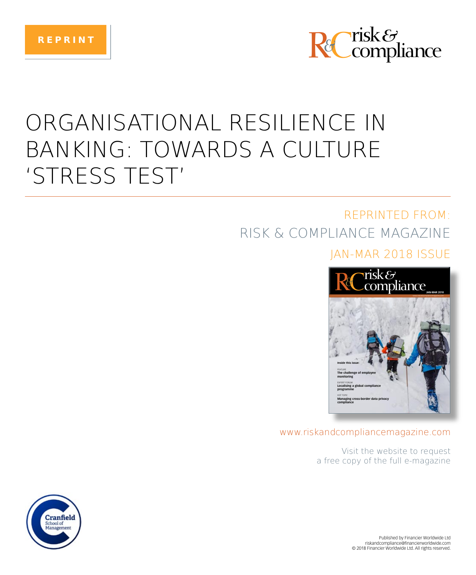



# ORGANISATIONAL RESILIENCE IN **BANKING: TOWARDS A CULTURE** 'STRESS TEST'

## **REPRINTED FROM:** RISK & COMPLIANCE MAGAZINE

### JAN-MAR 2018 ISSUE



### www.riskandcompliancemagazine.com

Visit the website to request a free copy of the full e-magazine

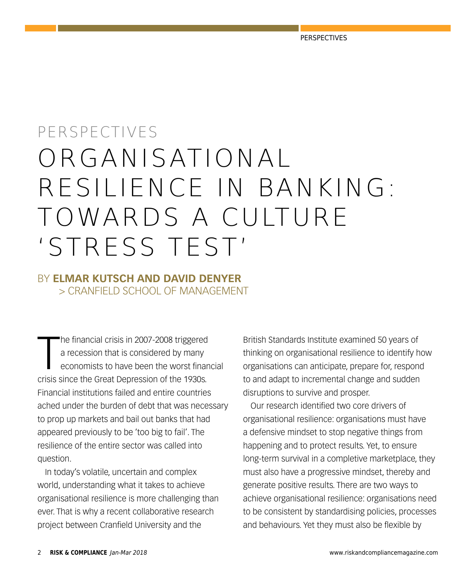# PERSPECTIVES ORGANISATIONAL RESILIENCE IN BANKING: TOWARDS A CULTURE 'STRESS TEST'

### BY **ELMAR KUTSCH AND DAVID DENYER** > CRANFIELD SCHOOL OF MANAGEMENT

 $\begin{array}{c} \hline \end{array}$ he financial crisis in 2007-2008 triggered a recession that is considered by many economists to have been the worst financial crisis since the Great Depression of the 1930s. Financial institutions failed and entire countries ached under the burden of debt that was necessary to prop up markets and bail out banks that had appeared previously to be 'too big to fail'. The resilience of the entire sector was called into question.

In today's volatile, uncertain and complex world, understanding what it takes to achieve organisational resilience is more challenging than ever. That is why a recent collaborative research project between Cranfield University and the

British Standards Institute examined 50 years of thinking on organisational resilience to identify how organisations can anticipate, prepare for, respond to and adapt to incremental change and sudden disruptions to survive and prosper.

Our research identified two core drivers of organisational resilience: organisations must have a defensive mindset to stop negative things from happening and to protect results. Yet, to ensure long-term survival in a completive marketplace, they must also have a progressive mindset, thereby and generate positive results. There are two ways to achieve organisational resilience: organisations need to be consistent by standardising policies, processes and behaviours. Yet they must also be flexible by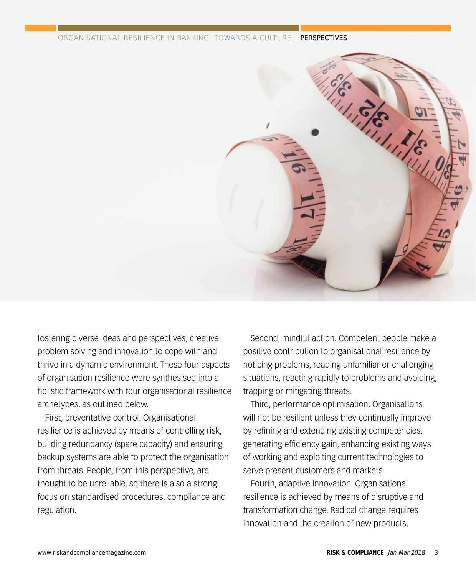ORGANISATIONAL RESILIENCE IN BANKING: TOWARDS A CULTURE... PERSPECTIVES



fostering diverse ideas and perspectives, creative problem solving and innovation to cope with and thrive in a dynamic environment. These four aspects of organisation resilience were synthesised into a holistic framework with four organisational resilience archetypes, as outlined below.

First, preventative control. Organisational resilience is achieved by means of controlling risk, building redundancy (spare capacity) and ensuring backup systems are able to protect the organisation from threats. People, from this perspective, are thought to be unreliable, so there is also a strong focus on standardised procedures, compliance and regulation.

Second, mindful action. Competent people make a positive contribution to organisational resilience by noticing problems, reading unfamiliar or challenging situations, reacting rapidly to problems and avoiding, trapping or mitigating threats.

Third, performance optimisation. Organisations will not be resilient unless they continually improve by refining and extending existing competencies, generating efficiency gain, enhancing existing ways of working and exploiting current technologies to serve present customers and markets.

Fourth, adaptive innovation. Organisational resilience is achieved by means of disruptive and transformation change. Radical change requires innovation and the creation of new products,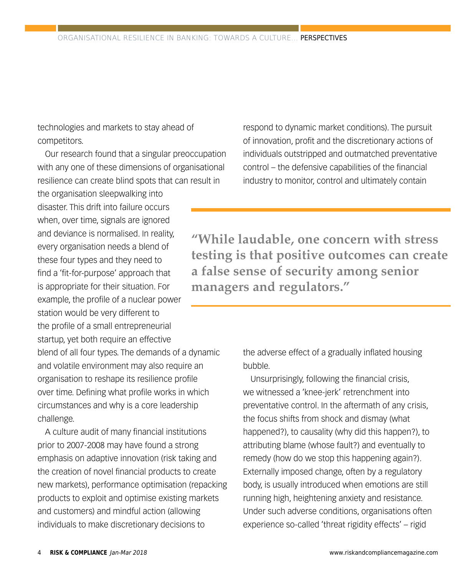technologies and markets to stay ahead of competitors.

Our research found that a singular preoccupation with any one of these dimensions of organisational resilience can create blind spots that can result in

the organisation sleepwalking into disaster. This drift into failure occurs when, over time, signals are ignored and deviance is normalised. In reality, every organisation needs a blend of these four types and they need to find a 'fit-for-purpose' approach that is appropriate for their situation. For example, the profile of a nuclear power station would be very different to the profile of a small entrepreneurial startup, yet both require an effective blend of all four types. The demands of a dynamic and volatile environment may also require an organisation to reshape its resilience profile over time. Defining what profile works in which circumstances and why is a core leadership challenge.

A culture audit of many financial institutions prior to 2007-2008 may have found a strong emphasis on adaptive innovation (risk taking and the creation of novel financial products to create new markets), performance optimisation (repacking products to exploit and optimise existing markets and customers) and mindful action (allowing individuals to make discretionary decisions to

respond to dynamic market conditions). The pursuit of innovation, profit and the discretionary actions of individuals outstripped and outmatched preventative control – the defensive capabilities of the financial industry to monitor, control and ultimately contain

**"While laudable, one concern with stress testing is that positive outcomes can create a false sense of security among senior managers and regulators."**

> the adverse effect of a gradually inflated housing bubble.

Unsurprisingly, following the financial crisis, we witnessed a 'knee-jerk' retrenchment into preventative control. In the aftermath of any crisis, the focus shifts from shock and dismay (what happened?), to causality (why did this happen?), to attributing blame (whose fault?) and eventually to remedy (how do we stop this happening again?). Externally imposed change, often by a regulatory body, is usually introduced when emotions are still running high, heightening anxiety and resistance. Under such adverse conditions, organisations often experience so-called 'threat rigidity effects' – rigid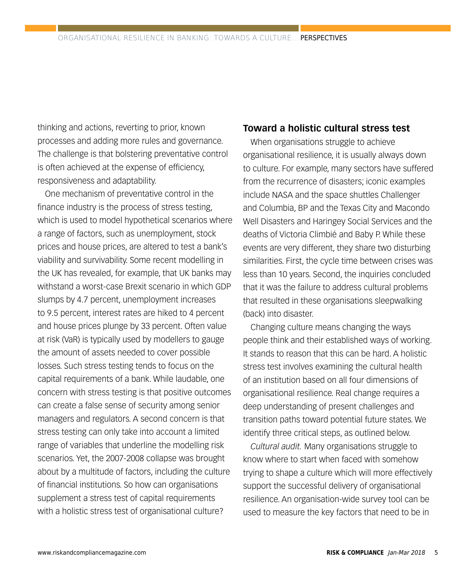thinking and actions, reverting to prior, known processes and adding more rules and governance. The challenge is that bolstering preventative control is often achieved at the expense of efficiency, responsiveness and adaptability.

One mechanism of preventative control in the finance industry is the process of stress testing, which is used to model hypothetical scenarios where a range of factors, such as unemployment, stock prices and house prices, are altered to test a bank's viability and survivability. Some recent modelling in the UK has revealed, for example, that UK banks may withstand a worst-case Brexit scenario in which GDP slumps by 4.7 percent, unemployment increases to 9.5 percent, interest rates are hiked to 4 percent and house prices plunge by 33 percent. Often value at risk (VaR) is typically used by modellers to gauge the amount of assets needed to cover possible losses. Such stress testing tends to focus on the capital requirements of a bank. While laudable, one concern with stress testing is that positive outcomes can create a false sense of security among senior managers and regulators. A second concern is that stress testing can only take into account a limited range of variables that underline the modelling risk scenarios. Yet, the 2007-2008 collapse was brought about by a multitude of factors, including the culture of financial institutions. So how can organisations supplement a stress test of capital requirements with a holistic stress test of organisational culture?

### **Toward a holistic cultural stress test**

When organisations struggle to achieve organisational resilience, it is usually always down to culture. For example, many sectors have suffered from the recurrence of disasters; iconic examples include NASA and the space shuttles Challenger and Columbia, BP and the Texas City and Macondo Well Disasters and Haringey Social Services and the deaths of Victoria Climbié and Baby P. While these events are very different, they share two disturbing similarities. First, the cycle time between crises was less than 10 years. Second, the inquiries concluded that it was the failure to address cultural problems that resulted in these organisations sleepwalking (back) into disaster.

Changing culture means changing the ways people think and their established ways of working. It stands to reason that this can be hard. A holistic stress test involves examining the cultural health of an institution based on all four dimensions of organisational resilience. Real change requires a deep understanding of present challenges and transition paths toward potential future states. We identify three critical steps, as outlined below.

*Cultural audit.* Many organisations struggle to know where to start when faced with somehow trying to shape a culture which will more effectively support the successful delivery of organisational resilience. An organisation-wide survey tool can be used to measure the key factors that need to be in